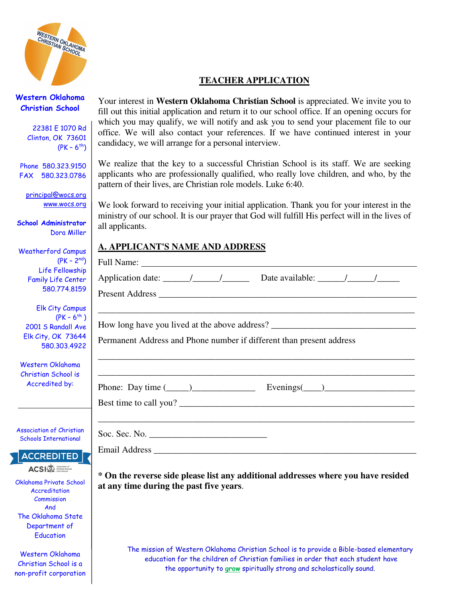

## **TEACHER APPLICATION**

Western Oklahoma Christian School

> 22381 E 1070 Rd Clinton, OK 73601  $(PK - 6^{th})$

Phone 580.323.9150 FAX 580.323.0786

principal@wocs.org www.wocs.org

School Administrator Dora Miller

Weatherford Campus  $(PK - 2)$ Life Fellowsh Family Life Cent 580,774,81

**Elk City Camp**  $(PK - 6<sup>†</sup>)$ 2001 S Randall A Elk City, OK 736 580.303.49

Western Oklahoma Christian School is Accredited by:

**Association of Christic** Schools International

**ACCREDITED ACSI**<sup>Association of</sup>

Oklahoma Private School **Accreditation Commission** And The Oklahoma State Department of **Education** 

Western Oklahoma Christian School is a non-profit corporation

Your interest in **Western Oklahoma Christian School** is appreciated. We invite you to fill out this initial application and return it to our school office. If an opening occurs for which you may qualify, we will notify and ask you to send your placement file to our office. We will also contact your references. If we have continued interest in your candidacy, we will arrange for a personal interview.

We realize that the key to a successful Christian School is its staff. We are seeking applicants who are professionally qualified, who really love children, and who, by the pattern of their lives, are Christian role models. Luke 6:40.

We look forward to receiving your initial application. Thank you for your interest in the ministry of our school. It is our prayer that God will fulfill His perfect will in the lives of all applicants.

#### **A. APPLICANT'S NAME AND ADDRESS**

|                               | Permanent Address and Phone number if different than present address |  |
|-------------------------------|----------------------------------------------------------------------|--|
|                               |                                                                      |  |
|                               |                                                                      |  |
|                               | Phone: Day time $(\_\_)$ Evenings $(\_\_)$                           |  |
|                               |                                                                      |  |
|                               |                                                                      |  |
|                               |                                                                      |  |
| Soc. Sec. No. $\qquad \qquad$ |                                                                      |  |
|                               |                                                                      |  |
|                               |                                                                      |  |

 **\* On the reverse side please list any additional addresses where you have resided at any time during the past five years**.

The mission of Western Oklahoma Christian School is to provide a Bible-based elementary education for the children of Christian families in order that each student have the opportunity to grow spiritually strong and scholastically sound.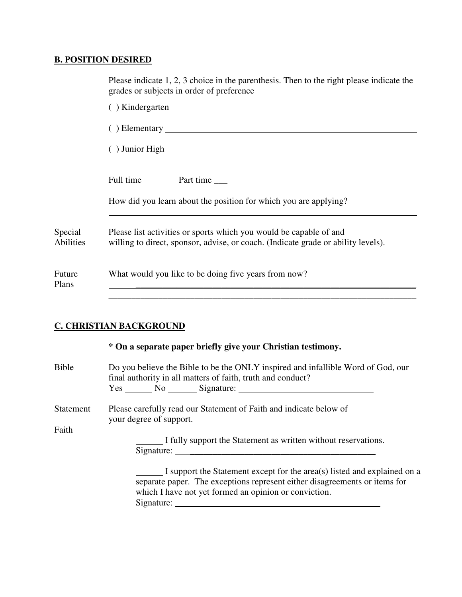# **B. POSITION DESIRED**

|                      | Please indicate 1, 2, 3 choice in the parenthesis. Then to the right please indicate the<br>grades or subjects in order of preference                   |
|----------------------|---------------------------------------------------------------------------------------------------------------------------------------------------------|
|                      | () Kindergarten                                                                                                                                         |
|                      |                                                                                                                                                         |
|                      |                                                                                                                                                         |
|                      |                                                                                                                                                         |
|                      | How did you learn about the position for which you are applying?                                                                                        |
| Special<br>Abilities | Please list activities or sports which you would be capable of and<br>willing to direct, sponsor, advise, or coach. (Indicate grade or ability levels). |
| Future<br>Plans      | What would you like to be doing five years from now?                                                                                                    |
|                      |                                                                                                                                                         |

## **C. CHRISTIAN BACKGROUND**

|                  | * On a separate paper briefly give your Christian testimony.                                                                                                                                                                             |  |  |
|------------------|------------------------------------------------------------------------------------------------------------------------------------------------------------------------------------------------------------------------------------------|--|--|
| Bible            | Do you believe the Bible to be the ONLY inspired and infallible Word of God, our<br>final authority in all matters of faith, truth and conduct?<br>Yes No Signature:                                                                     |  |  |
| <b>Statement</b> | Please carefully read our Statement of Faith and indicate below of<br>your degree of support.                                                                                                                                            |  |  |
| Faith            | I fully support the Statement as written without reservations.                                                                                                                                                                           |  |  |
|                  | I support the Statement except for the area(s) listed and explained on a<br>separate paper. The exceptions represent either disagreements or items for<br>which I have not yet formed an opinion or conviction.<br>Signature: Signature: |  |  |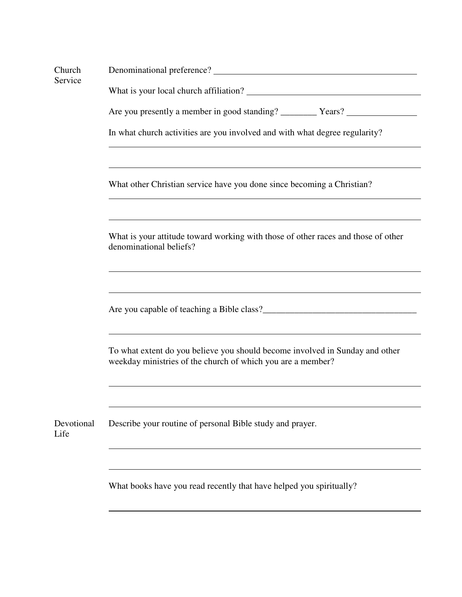| Church<br>Service  |                                                                                                                                                                                                                                      |  |  |  |  |
|--------------------|--------------------------------------------------------------------------------------------------------------------------------------------------------------------------------------------------------------------------------------|--|--|--|--|
|                    |                                                                                                                                                                                                                                      |  |  |  |  |
|                    |                                                                                                                                                                                                                                      |  |  |  |  |
|                    | In what church activities are you involved and with what degree regularity?                                                                                                                                                          |  |  |  |  |
|                    | ,我们也不会有什么。""我们的人,我们也不会有什么?""我们的人,我们也不会有什么?""我们的人,我们的人,我们的人,我们的人,我们的人,我们的人,我们的人,我<br>What other Christian service have you done since becoming a Christian?                                                                           |  |  |  |  |
|                    | What is your attitude toward working with those of other races and those of other<br>denominational beliefs?                                                                                                                         |  |  |  |  |
|                    | Are you capable of teaching a Bible class?<br><u>Letting</u> 2 and 2011 and 2012 and 2013 and 2014 and 2014 and 2014 and 2014 and 2014 and 2014 and 2014 and 2014 and 2014 and 2014 and 2014 and 2014 and 2014 and 2014 and 2014 and |  |  |  |  |
|                    | To what extent do you believe you should become involved in Sunday and other<br>weekday ministries of the church of which you are a member?                                                                                          |  |  |  |  |
| Devotional<br>Life | Describe your routine of personal Bible study and prayer.                                                                                                                                                                            |  |  |  |  |
|                    | What books have you read recently that have helped you spiritually?                                                                                                                                                                  |  |  |  |  |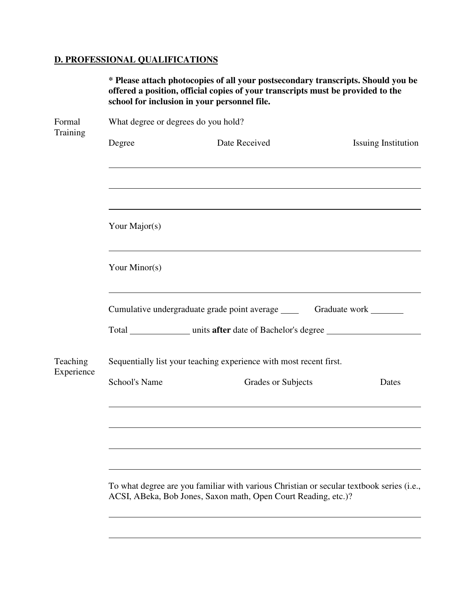# **D. PROFESSIONAL QUALIFICATIONS**

|                        |                                                                     | * Please attach photocopies of all your postsecondary transcripts. Should you be<br>offered a position, official copies of your transcripts must be provided to the<br>school for inclusion in your personnel file. |                            |  |  |  |
|------------------------|---------------------------------------------------------------------|---------------------------------------------------------------------------------------------------------------------------------------------------------------------------------------------------------------------|----------------------------|--|--|--|
| Formal<br>Training     | What degree or degrees do you hold?                                 |                                                                                                                                                                                                                     |                            |  |  |  |
|                        | Degree                                                              | Date Received                                                                                                                                                                                                       | <b>Issuing Institution</b> |  |  |  |
|                        |                                                                     |                                                                                                                                                                                                                     |                            |  |  |  |
|                        | Your Major(s)                                                       |                                                                                                                                                                                                                     |                            |  |  |  |
|                        | Your Minor(s)                                                       |                                                                                                                                                                                                                     |                            |  |  |  |
|                        | Cumulative undergraduate grade point average _____<br>Graduate work |                                                                                                                                                                                                                     |                            |  |  |  |
|                        |                                                                     | Total _______________ units after date of Bachelor's degree                                                                                                                                                         |                            |  |  |  |
| Teaching<br>Experience |                                                                     | Sequentially list your teaching experience with most recent first.                                                                                                                                                  |                            |  |  |  |
|                        | <b>School's Name</b>                                                | Grades or Subjects                                                                                                                                                                                                  | Dates                      |  |  |  |
|                        |                                                                     |                                                                                                                                                                                                                     |                            |  |  |  |
|                        |                                                                     | To what degree are you familiar with various Christian or secular textbook series (i.e.,<br>ACSI, ABeka, Bob Jones, Saxon math, Open Court Reading, etc.)?                                                          |                            |  |  |  |
|                        |                                                                     |                                                                                                                                                                                                                     |                            |  |  |  |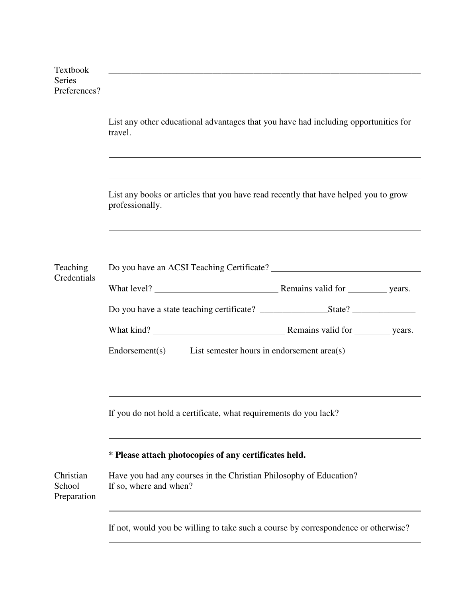| Textbook<br><b>Series</b><br>Preferences? | the control of the control of the control of the control of the control of the control of the control of the control of the control of the control of the control of the control of the control of the control of the control |  |  |  |
|-------------------------------------------|-------------------------------------------------------------------------------------------------------------------------------------------------------------------------------------------------------------------------------|--|--|--|
|                                           | List any other educational advantages that you have had including opportunities for<br>travel.                                                                                                                                |  |  |  |
|                                           | List any books or articles that you have read recently that have helped you to grow<br>professionally.                                                                                                                        |  |  |  |
|                                           |                                                                                                                                                                                                                               |  |  |  |
| Teaching<br>Credentials                   |                                                                                                                                                                                                                               |  |  |  |
|                                           |                                                                                                                                                                                                                               |  |  |  |
|                                           |                                                                                                                                                                                                                               |  |  |  |
|                                           |                                                                                                                                                                                                                               |  |  |  |
|                                           | $Endorsement(s)$ List semester hours in endorsement area(s)                                                                                                                                                                   |  |  |  |
|                                           |                                                                                                                                                                                                                               |  |  |  |
|                                           | If you do not hold a certificate, what requirements do you lack?                                                                                                                                                              |  |  |  |
|                                           | * Please attach photocopies of any certificates held.                                                                                                                                                                         |  |  |  |
| Christian<br>School<br>Preparation        | Have you had any courses in the Christian Philosophy of Education?<br>If so, where and when?                                                                                                                                  |  |  |  |
|                                           | If not, would you be willing to take such a course by correspondence or otherwise?                                                                                                                                            |  |  |  |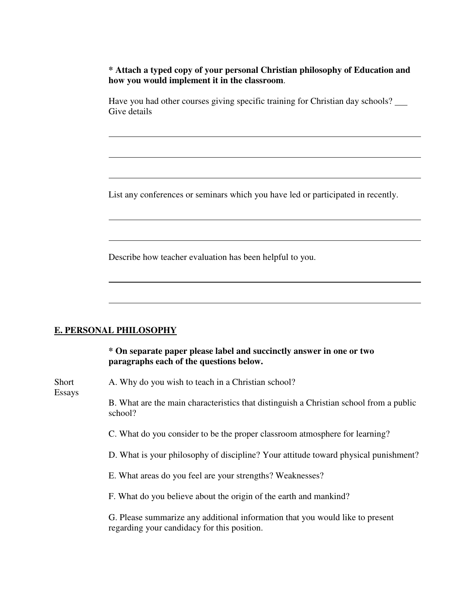**\* Attach a typed copy of your personal Christian philosophy of Education and how you would implement it in the classroom**.

 Have you had other courses giving specific training for Christian day schools? Give details

List any conferences or seminars which you have led or participated in recently.

Describe how teacher evaluation has been helpful to you.

#### **E. PERSONAL PHILOSOPHY**

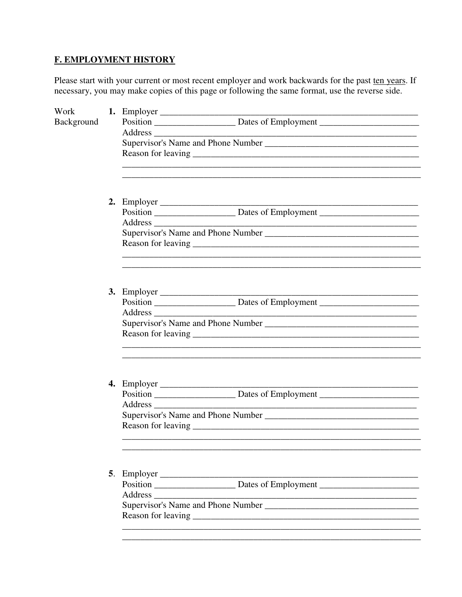## **F. EMPLOYMENT HISTORY**

Please start with your current or most recent employer and work backwards for the past ten years. If necessary, you may make copies of this page or following the same format, use the reverse side.

| Work              |                                                                                  |
|-------------------|----------------------------------------------------------------------------------|
| <b>Background</b> |                                                                                  |
|                   |                                                                                  |
|                   |                                                                                  |
|                   |                                                                                  |
|                   | <u> 1989 - Johann Stoff, amerikansk politiker (d. 1989)</u>                      |
|                   |                                                                                  |
|                   |                                                                                  |
|                   |                                                                                  |
|                   |                                                                                  |
|                   |                                                                                  |
|                   |                                                                                  |
|                   |                                                                                  |
|                   |                                                                                  |
|                   |                                                                                  |
|                   |                                                                                  |
|                   |                                                                                  |
|                   | 3. Employer $\overline{\phantom{a}}$                                             |
|                   |                                                                                  |
|                   | Address                                                                          |
|                   |                                                                                  |
|                   |                                                                                  |
|                   | <u> 1989 - Johann Stoff, amerikansk politiker (d. 1989)</u>                      |
|                   |                                                                                  |
|                   |                                                                                  |
|                   |                                                                                  |
|                   |                                                                                  |
|                   |                                                                                  |
|                   |                                                                                  |
|                   |                                                                                  |
|                   |                                                                                  |
|                   |                                                                                  |
|                   |                                                                                  |
|                   |                                                                                  |
|                   | Position __________________________Dates of Employment _________________________ |
|                   |                                                                                  |
|                   |                                                                                  |
|                   |                                                                                  |
|                   |                                                                                  |
|                   |                                                                                  |
|                   |                                                                                  |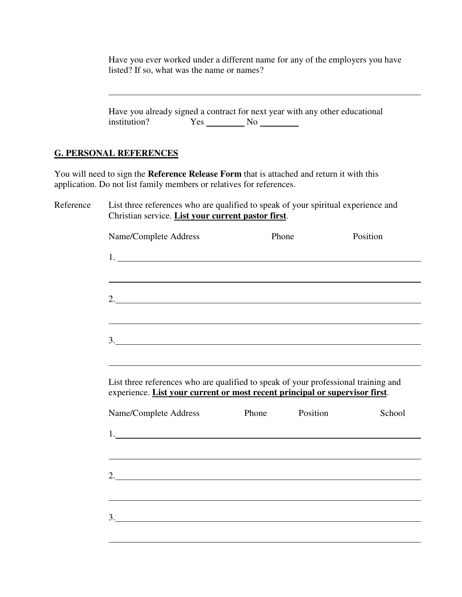Have you ever worked under a different name for any of the employers you have listed? If so, what was the name or names?

|           | Have you already signed a contract for next year with any other educational<br>institution?                                                                       | $Yes$ No $\_\_\_\_\_\$ |          |          |  |
|-----------|-------------------------------------------------------------------------------------------------------------------------------------------------------------------|------------------------|----------|----------|--|
|           | <b>G. PERSONAL REFERENCES</b>                                                                                                                                     |                        |          |          |  |
|           | You will need to sign the Reference Release Form that is attached and return it with this<br>application. Do not list family members or relatives for references. |                        |          |          |  |
| Reference | List three references who are qualified to speak of your spiritual experience and<br>Christian service. List your current pastor first.                           |                        |          |          |  |
|           | Name/Complete Address                                                                                                                                             | Phone                  |          | Position |  |
|           |                                                                                                                                                                   |                        |          |          |  |
|           |                                                                                                                                                                   |                        |          |          |  |
|           | 2.                                                                                                                                                                |                        |          |          |  |
|           | 3.                                                                                                                                                                |                        |          |          |  |
|           | List three references who are qualified to speak of your professional training and<br>experience. List your current or most recent principal or supervisor first. |                        |          |          |  |
|           | Name/Complete Address                                                                                                                                             | Phone                  | Position | School   |  |
|           | 1.                                                                                                                                                                |                        |          |          |  |
|           | 2. $\qquad \qquad$                                                                                                                                                |                        |          |          |  |
|           | $\frac{3}{2}$                                                                                                                                                     |                        |          |          |  |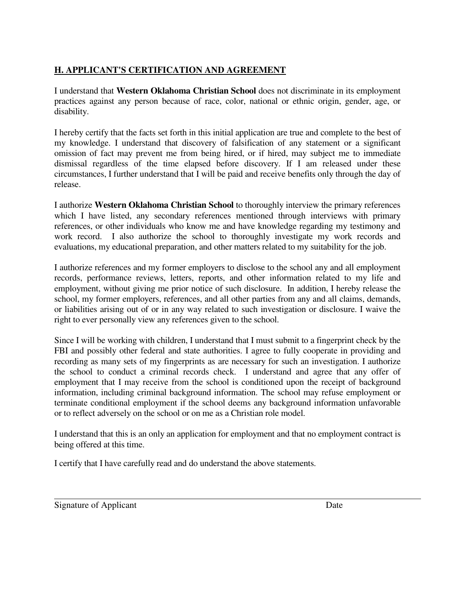# **H. APPLICANT'S CERTIFICATION AND AGREEMENT**

I understand that **Western Oklahoma Christian School** does not discriminate in its employment practices against any person because of race, color, national or ethnic origin, gender, age, or disability.

I hereby certify that the facts set forth in this initial application are true and complete to the best of my knowledge. I understand that discovery of falsification of any statement or a significant omission of fact may prevent me from being hired, or if hired, may subject me to immediate dismissal regardless of the time elapsed before discovery. If I am released under these circumstances, I further understand that I will be paid and receive benefits only through the day of release.

I authorize **Western Oklahoma Christian School** to thoroughly interview the primary references which I have listed, any secondary references mentioned through interviews with primary references, or other individuals who know me and have knowledge regarding my testimony and work record. I also authorize the school to thoroughly investigate my work records and evaluations, my educational preparation, and other matters related to my suitability for the job.

I authorize references and my former employers to disclose to the school any and all employment records, performance reviews, letters, reports, and other information related to my life and employment, without giving me prior notice of such disclosure. In addition, I hereby release the school, my former employers, references, and all other parties from any and all claims, demands, or liabilities arising out of or in any way related to such investigation or disclosure. I waive the right to ever personally view any references given to the school.

Since I will be working with children, I understand that I must submit to a fingerprint check by the FBI and possibly other federal and state authorities. I agree to fully cooperate in providing and recording as many sets of my fingerprints as are necessary for such an investigation. I authorize the school to conduct a criminal records check. I understand and agree that any offer of employment that I may receive from the school is conditioned upon the receipt of background information, including criminal background information. The school may refuse employment or terminate conditional employment if the school deems any background information unfavorable or to reflect adversely on the school or on me as a Christian role model.

I understand that this is an only an application for employment and that no employment contract is being offered at this time.

I certify that I have carefully read and do understand the above statements.

Signature of Applicant Date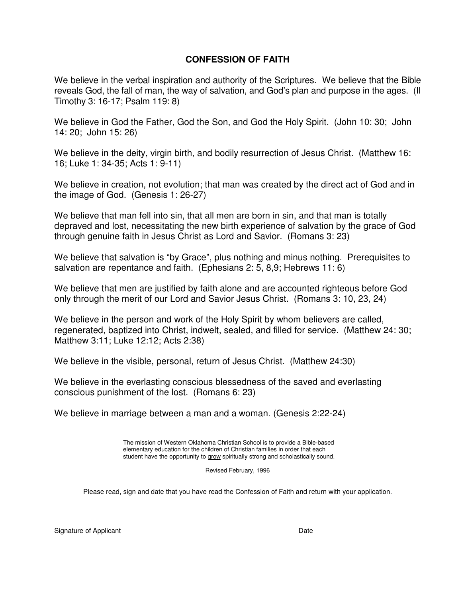#### **CONFESSION OF FAITH**

We believe in the verbal inspiration and authority of the Scriptures. We believe that the Bible reveals God, the fall of man, the way of salvation, and God's plan and purpose in the ages. (II Timothy 3: 16-17; Psalm 119: 8)

We believe in God the Father, God the Son, and God the Holy Spirit. (John 10: 30; John 14: 20; John 15: 26)

We believe in the deity, virgin birth, and bodily resurrection of Jesus Christ. (Matthew 16: 16; Luke 1: 34-35; Acts 1: 9-11)

We believe in creation, not evolution; that man was created by the direct act of God and in the image of God. (Genesis 1: 26-27)

We believe that man fell into sin, that all men are born in sin, and that man is totally depraved and lost, necessitating the new birth experience of salvation by the grace of God through genuine faith in Jesus Christ as Lord and Savior. (Romans 3: 23)

We believe that salvation is "by Grace", plus nothing and minus nothing. Prerequisites to salvation are repentance and faith. (Ephesians 2: 5, 8,9; Hebrews 11: 6)

We believe that men are justified by faith alone and are accounted righteous before God only through the merit of our Lord and Savior Jesus Christ. (Romans 3: 10, 23, 24)

We believe in the person and work of the Holy Spirit by whom believers are called, regenerated, baptized into Christ, indwelt, sealed, and filled for service. (Matthew 24: 30; Matthew 3:11; Luke 12:12; Acts 2:38)

We believe in the visible, personal, return of Jesus Christ. (Matthew 24:30)

We believe in the everlasting conscious blessedness of the saved and everlasting conscious punishment of the lost. (Romans 6: 23)

We believe in marriage between a man and a woman. (Genesis 2:22-24)

 The mission of Western Oklahoma Christian School is to provide a Bible-based elementary education for the children of Christian families in order that each student have the opportunity to grow spiritually strong and scholastically sound.

Revised February, 1996

Please read, sign and date that you have read the Confession of Faith and return with your application.

\_\_\_\_\_\_\_\_\_\_\_\_\_\_\_\_\_\_\_\_\_\_\_\_\_\_\_\_\_\_\_\_\_\_\_\_\_\_\_\_\_\_\_\_\_\_\_\_\_\_\_\_ \_\_\_\_\_\_\_\_\_\_\_\_\_\_\_\_\_\_\_\_\_\_\_\_ Signature of Applicant Date Date Date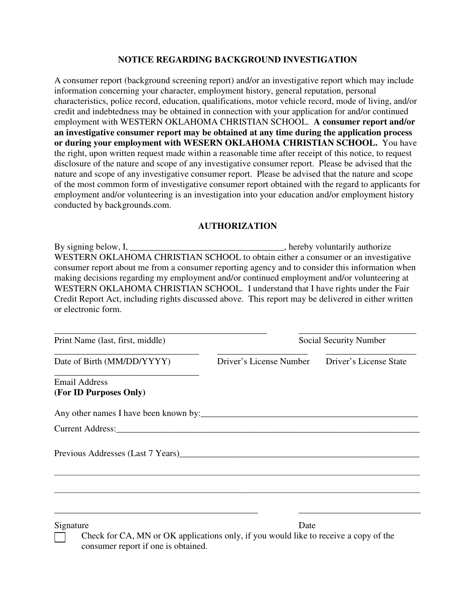#### **NOTICE REGARDING BACKGROUND INVESTIGATION**

A consumer report (background screening report) and/or an investigative report which may include information concerning your character, employment history, general reputation, personal characteristics, police record, education, qualifications, motor vehicle record, mode of living, and/or credit and indebtedness may be obtained in connection with your application for and/or continued employment with WESTERN OKLAHOMA CHRISTIAN SCHOOL. **A consumer report and/or an investigative consumer report may be obtained at any time during the application process or during your employment with WESERN OKLAHOMA CHRISTIAN SCHOOL.** You have the right, upon written request made within a reasonable time after receipt of this notice, to request disclosure of the nature and scope of any investigative consumer report. Please be advised that the nature and scope of any investigative consumer report. Please be advised that the nature and scope of the most common form of investigative consumer report obtained with the regard to applicants for employment and/or volunteering is an investigation into your education and/or employment history conducted by backgrounds.com.

#### **AUTHORIZATION**

By signing below, I, \_\_\_\_\_\_\_\_\_\_\_\_\_\_\_\_\_\_\_\_\_\_\_\_\_\_\_\_\_\_\_\_\_, hereby voluntarily authorize WESTERN OKLAHOMA CHRISTIAN SCHOOL to obtain either a consumer or an investigative consumer report about me from a consumer reporting agency and to consider this information when making decisions regarding my employment and/or continued employment and/or volunteering at WESTERN OKLAHOMA CHRISTIAN SCHOOL. I understand that I have rights under the Fair Credit Report Act, including rights discussed above. This report may be delivered in either written or electronic form.

| Print Name (last, first, middle)               | Social Security Number  |                        |  |
|------------------------------------------------|-------------------------|------------------------|--|
| Date of Birth (MM/DD/YYYY)                     | Driver's License Number | Driver's License State |  |
| <b>Email Address</b><br>(For ID Purposes Only) |                         |                        |  |
|                                                |                         |                        |  |
|                                                |                         |                        |  |
| Previous Addresses (Last 7 Years)              |                         |                        |  |
|                                                |                         |                        |  |
|                                                |                         |                        |  |
| Signature                                      | Date                    |                        |  |

 Check for CA, MN or OK applications only, if you would like to receive a copy of the consumer report if one is obtained.